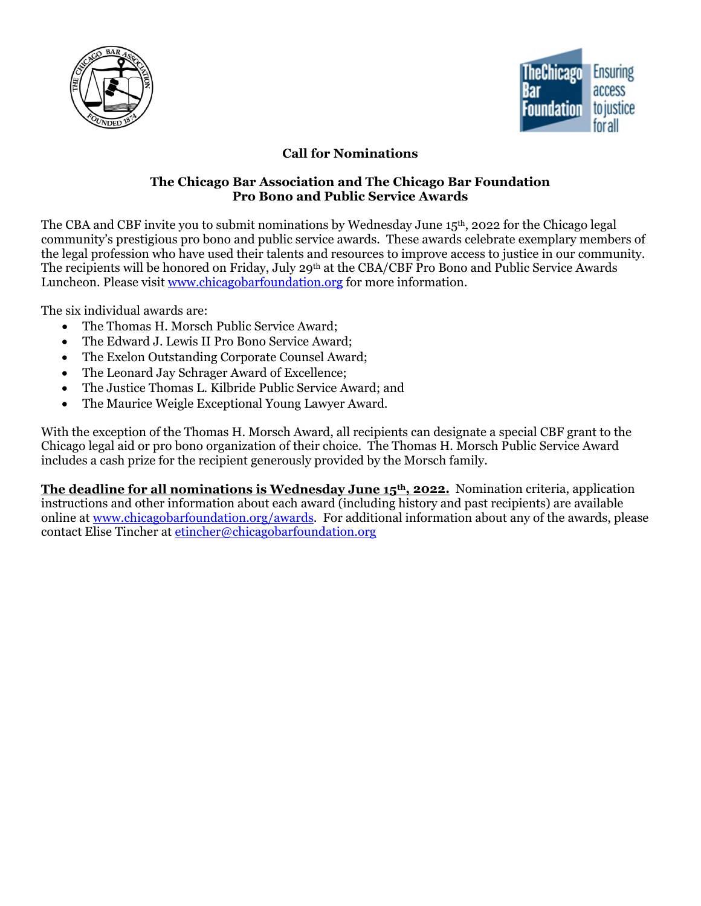



# **Call for Nominations**

#### **The Chicago Bar Association and The Chicago Bar Foundation Pro Bono and Public Service Awards**

The CBA and CBF invite you to submit nominations by Wednesday June 15<sup>th</sup>, 2022 for the Chicago legal community's prestigious pro bono and public service awards. These awards celebrate exemplary members of the legal profession who have used their talents and resources to improve access to justice in our community. The recipients will be honored on Friday, July 29<sup>th</sup> at the CBA/CBF Pro Bono and Public Service Awards Luncheon. Please visit [www.chicagobarfoundation.org](http://www.chicagobarfoundation.org/) for more information.

The six individual awards are:

- The Thomas H. Morsch Public Service Award;
- The Edward J. Lewis II Pro Bono Service Award;
- The Exelon Outstanding Corporate Counsel Award;
- The Leonard Jay Schrager Award of Excellence;
- The Justice Thomas L. Kilbride Public Service Award; and
- The Maurice Weigle Exceptional Young Lawyer Award.

With the exception of the Thomas H. Morsch Award, all recipients can designate a special CBF grant to the Chicago legal aid or pro bono organization of their choice. The Thomas H. Morsch Public Service Award includes a cash prize for the recipient generously provided by the Morsch family.

**The deadline for all nominations is Wednesday June 15th, 2022.** Nomination criteria, application instructions and other information about each award (including history and past recipients) are available online at [www.chicagobarfoundation.org/awards.](http://www.chicagobarfoundation.org/awards) For additional information about any of the awards, please contact Elise Tincher at [etincher@chicagobarfoundation.org](mailto:etincher@chicagobarfoundation.org)